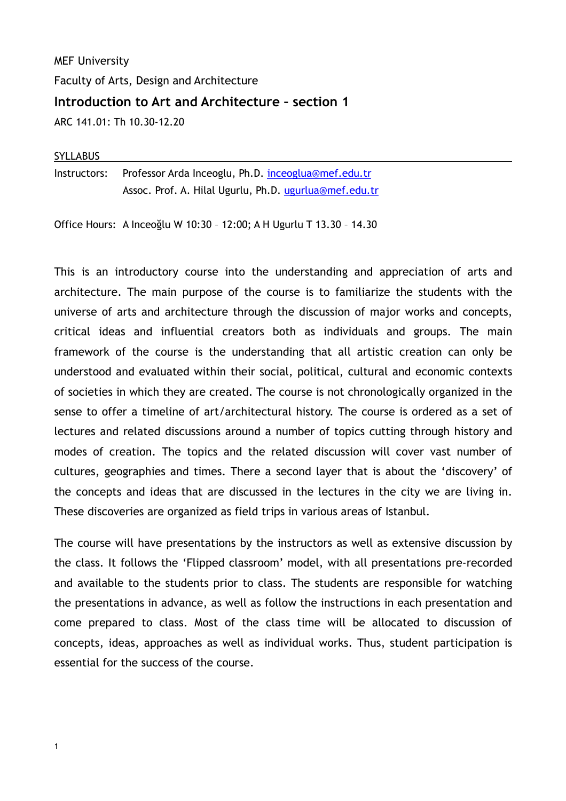MEF University Faculty of Arts, Design and Architecture **Introduction to Art and Architecture – section 1**  ARC 141.01: Th 10.30-12.20

#### SYLLABUS

Instructors: Professor Arda Inceoglu, Ph.D. [inceoglua@mef.edu.tr](mailto:inceoglua@mef.edu.tr) Assoc. Prof. A. Hilal Ugurlu, Ph.D. [ugurlua@mef.edu.tr](mailto:ugurlua@mef.edu.tr)

Office Hours: A Inceoğlu W 10:30 – 12:00; A H Ugurlu T 13.30 – 14.30

This is an introductory course into the understanding and appreciation of arts and architecture. The main purpose of the course is to familiarize the students with the universe of arts and architecture through the discussion of major works and concepts, critical ideas and influential creators both as individuals and groups. The main framework of the course is the understanding that all artistic creation can only be understood and evaluated within their social, political, cultural and economic contexts of societies in which they are created. The course is not chronologically organized in the sense to offer a timeline of art/architectural history. The course is ordered as a set of lectures and related discussions around a number of topics cutting through history and modes of creation. The topics and the related discussion will cover vast number of cultures, geographies and times. There a second layer that is about the 'discovery' of the concepts and ideas that are discussed in the lectures in the city we are living in. These discoveries are organized as field trips in various areas of Istanbul.

The course will have presentations by the instructors as well as extensive discussion by the class. It follows the 'Flipped classroom' model, with all presentations pre-recorded and available to the students prior to class. The students are responsible for watching the presentations in advance, as well as follow the instructions in each presentation and come prepared to class. Most of the class time will be allocated to discussion of concepts, ideas, approaches as well as individual works. Thus, student participation is essential for the success of the course.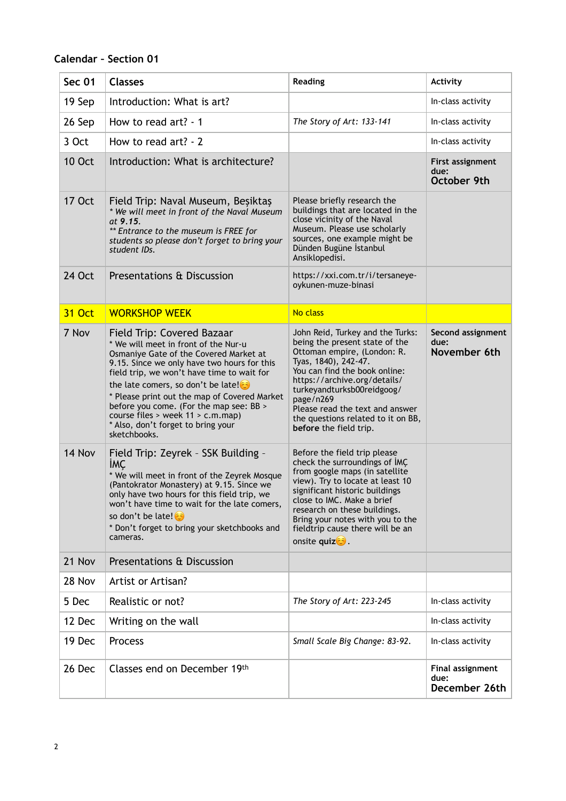# **Calendar – Section 01**

| <b>Sec 01</b> | <b>Classes</b>                                                                                                                                                                                                                                                                                                                                                                                                                                | <b>Reading</b>                                                                                                                                                                                                                                                                                                                           | <b>Activity</b>                           |
|---------------|-----------------------------------------------------------------------------------------------------------------------------------------------------------------------------------------------------------------------------------------------------------------------------------------------------------------------------------------------------------------------------------------------------------------------------------------------|------------------------------------------------------------------------------------------------------------------------------------------------------------------------------------------------------------------------------------------------------------------------------------------------------------------------------------------|-------------------------------------------|
| 19 Sep        | Introduction: What is art?                                                                                                                                                                                                                                                                                                                                                                                                                    |                                                                                                                                                                                                                                                                                                                                          | In-class activity                         |
| 26 Sep        | How to read art? - 1                                                                                                                                                                                                                                                                                                                                                                                                                          | The Story of Art: 133-141                                                                                                                                                                                                                                                                                                                | In-class activity                         |
| 3 Oct         | How to read art? - 2                                                                                                                                                                                                                                                                                                                                                                                                                          |                                                                                                                                                                                                                                                                                                                                          | In-class activity                         |
| <b>10 Oct</b> | Introduction: What is architecture?                                                                                                                                                                                                                                                                                                                                                                                                           |                                                                                                                                                                                                                                                                                                                                          | First assignment<br>due:<br>October 9th   |
| <b>17 Oct</b> | Field Trip: Naval Museum, Beşiktaş<br>* We will meet in front of the Naval Museum<br>at 9.15.<br>** Entrance to the museum is FREE for<br>students so please don't forget to bring your<br>student IDs.                                                                                                                                                                                                                                       | Please briefly research the<br>buildings that are located in the<br>close vicinity of the Naval<br>Museum. Please use scholarly<br>sources, one example might be<br>Dünden Bugüne İstanbul<br>Ansiklopedisi.                                                                                                                             |                                           |
| 24 Oct        | Presentations & Discussion                                                                                                                                                                                                                                                                                                                                                                                                                    | https://xxi.com.tr/i/tersaneye-<br>oykunen-muze-binasi                                                                                                                                                                                                                                                                                   |                                           |
| <b>31 Oct</b> | <b>WORKSHOP WEEK</b>                                                                                                                                                                                                                                                                                                                                                                                                                          | No class                                                                                                                                                                                                                                                                                                                                 |                                           |
| 7 Nov         | Field Trip: Covered Bazaar<br>* We will meet in front of the Nur-u<br>Osmaniye Gate of the Covered Market at<br>9.15. Since we only have two hours for this<br>field trip, we won't have time to wait for<br>the late comers, so don't be late! $\odot$<br>* Please print out the map of Covered Market<br>before you come. (For the map see: BB ><br>course files > week 11 > c.m.map)<br>* Also, don't forget to bring your<br>sketchbooks. | John Reid, Turkey and the Turks:<br>being the present state of the<br>Ottoman empire, (London: R.<br>Tyas, 1840), 242-47.<br>You can find the book online:<br>https://archive.org/details/<br>turkeyandturksb00reidgoog/<br>page/n269<br>Please read the text and answer<br>the questions related to it on BB,<br>before the field trip. | Second assignment<br>due:<br>November 6th |
| 14 Nov        | Field Trip: Zeyrek - SSK Building -<br><b>IMC</b><br>* We will meet in front of the Zeyrek Mosque<br>(Pantokrator Monastery) at 9.15. Since we<br>only have two hours for this field trip, we<br>won't have time to wait for the late comers,<br>so don't be late!<br>* Don't forget to bring your sketchbooks and<br>cameras.                                                                                                                | Before the field trip please<br>check the surroundings of IMC<br>from google maps (in satellite<br>view). Try to locate at least 10<br>significant historic buildings<br>close to IMC. Make a brief<br>research on these buildings.<br>Bring your notes with you to the<br>fieldtrip cause there will be an<br>onsite quize.             |                                           |
| 21 Nov        | Presentations & Discussion                                                                                                                                                                                                                                                                                                                                                                                                                    |                                                                                                                                                                                                                                                                                                                                          |                                           |
| 28 Nov        | Artist or Artisan?                                                                                                                                                                                                                                                                                                                                                                                                                            |                                                                                                                                                                                                                                                                                                                                          |                                           |
| 5 Dec         | Realistic or not?                                                                                                                                                                                                                                                                                                                                                                                                                             | The Story of Art: 223-245                                                                                                                                                                                                                                                                                                                | In-class activity                         |
| 12 Dec        | Writing on the wall                                                                                                                                                                                                                                                                                                                                                                                                                           |                                                                                                                                                                                                                                                                                                                                          | In-class activity                         |
| 19 Dec        | Process                                                                                                                                                                                                                                                                                                                                                                                                                                       | Small Scale Big Change: 83-92.                                                                                                                                                                                                                                                                                                           | In-class activity                         |
| 26 Dec        | Classes end on December 19th                                                                                                                                                                                                                                                                                                                                                                                                                  |                                                                                                                                                                                                                                                                                                                                          | Final assignment<br>due:<br>December 26th |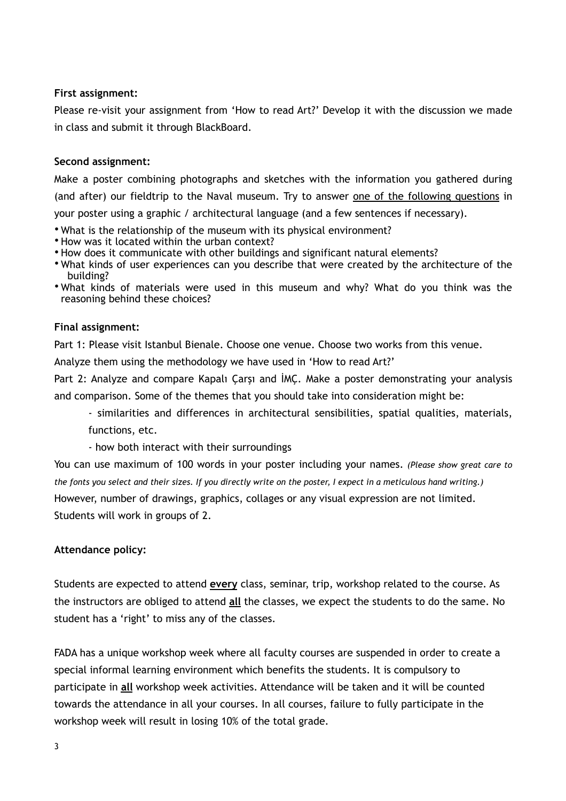#### **First assignment:**

Please re-visit your assignment from 'How to read Art?' Develop it with the discussion we made in class and submit it through BlackBoard.

#### **Second assignment:**

Make a poster combining photographs and sketches with the information you gathered during (and after) our fieldtrip to the Naval museum. Try to answer one of the following questions in your poster using a graphic / architectural language (and a few sentences if necessary).

- What is the relationship of the museum with its physical environment?
- How was it located within the urban context?
- How does it communicate with other buildings and significant natural elements?
- What kinds of user experiences can you describe that were created by the architecture of the building?
- What kinds of materials were used in this museum and why? What do you think was the reasoning behind these choices?

#### **Final assignment:**

Part 1: Please visit Istanbul Bienale. Choose one venue. Choose two works from this venue.

Analyze them using the methodology we have used in 'How to read Art?'

Part 2: Analyze and compare Kapalı Çarşı and İMÇ. Make a poster demonstrating your analysis and comparison. Some of the themes that you should take into consideration might be:

- similarities and differences in architectural sensibilities, spatial qualities, materials, functions, etc.
- how both interact with their surroundings

You can use maximum of 100 words in your poster including your names. *(Please show great care to the fonts you select and their sizes. If you directly write on the poster, I expect in a meticulous hand writing.)* However, number of drawings, graphics, collages or any visual expression are not limited. Students will work in groups of 2.

### **Attendance policy:**

Students are expected to attend **every** class, seminar, trip, workshop related to the course. As the instructors are obliged to attend **all** the classes, we expect the students to do the same. No student has a 'right' to miss any of the classes.

FADA has a unique workshop week where all faculty courses are suspended in order to create a special informal learning environment which benefits the students. It is compulsory to participate in **all** workshop week activities. Attendance will be taken and it will be counted towards the attendance in all your courses. In all courses, failure to fully participate in the workshop week will result in losing 10% of the total grade.